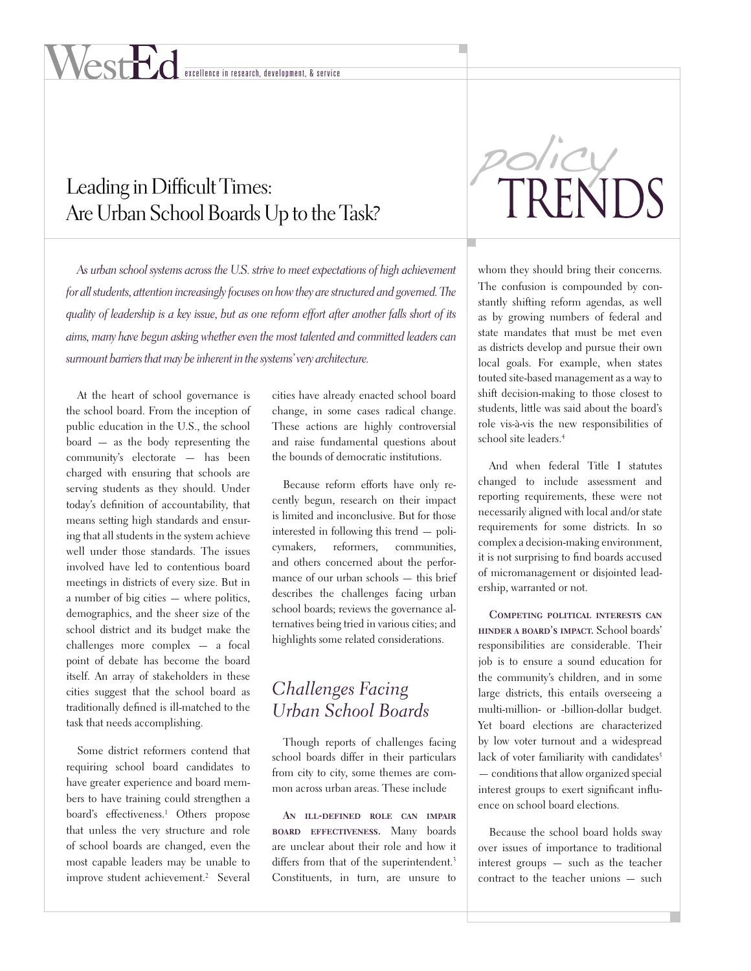# excellence in research, development, & service

# Leading in Difficult Times: Are Urban School Boards Up to the Task?

*As urban school systems across the U.S. strive to meet expectations of high achievement for all students, attention increasingly focuses on how they are structured and governed. The quality of leadership is a key issue, but as one reform effort after another falls short of its aims, many have begun asking whether even the most talented and committed leaders can surmount barriers that may be inherent in the systems' very architecture.*

At the heart of school governance is the school board. From the inception of public education in the U.S., the school board — as the body representing the community's electorate — has been charged with ensuring that schools are serving students as they should. Under today's definition of accountability, that means setting high standards and ensuring that all students in the system achieve well under those standards. The issues involved have led to contentious board meetings in districts of every size. But in a number of big cities — where politics, demographics, and the sheer size of the school district and its budget make the challenges more complex — a focal point of debate has become the board itself. An array of stakeholders in these cities suggest that the school board as traditionally defined is ill-matched to the task that needs accomplishing.

Some district reformers contend that requiring school board candidates to have greater experience and board members to have training could strengthen a board's effectiveness.<sup>1</sup> Others propose that unless the very structure and role of school boards are changed, even the most capable leaders may be unable to improve student achievement.<sup>2</sup> Several

cities have already enacted school board change, in some cases radical change. These actions are highly controversial and raise fundamental questions about the bounds of democratic institutions.

Because reform efforts have only recently begun, research on their impact is limited and inconclusive. But for those interested in following this trend — policymakers, reformers, communities, and others concerned about the performance of our urban schools — this brief describes the challenges facing urban school boards; reviews the governance alternatives being tried in various cities; and highlights some related considerations.

# *Challenges Facing Urban School Boards*

Though reports of challenges facing school boards differ in their particulars from city to city, some themes are common across urban areas. These include

**An ill-defined role can impair board effectiveness.** Many boards are unclear about their role and how it differs from that of the superintendent.<sup>3</sup> Constituents, in turn, are unsure to



whom they should bring their concerns. The confusion is compounded by constantly shifting reform agendas, as well as by growing numbers of federal and state mandates that must be met even as districts develop and pursue their own local goals. For example, when states touted site-based management as a way to shift decision-making to those closest to students, little was said about the board's role vis-à-vis the new responsibilities of school site leaders.4

And when federal Title I statutes changed to include assessment and reporting requirements, these were not necessarily aligned with local and/or state requirements for some districts. In so complex a decision-making environment, it is not surprising to find boards accused of micromanagement or disjointed leadership, warranted or not.

**Competing political interests can hinder a board's impact.** School boards' responsibilities are considerable. Their job is to ensure a sound education for the community's children, and in some large districts, this entails overseeing a multi-million- or -billion-dollar budget. Yet board elections are characterized by low voter turnout and a widespread lack of voter familiarity with candidates<sup>5</sup> — conditions that allow organized special interest groups to exert significant influence on school board elections.

Because the school board holds sway over issues of importance to traditional interest groups — such as the teacher contract to the teacher unions — such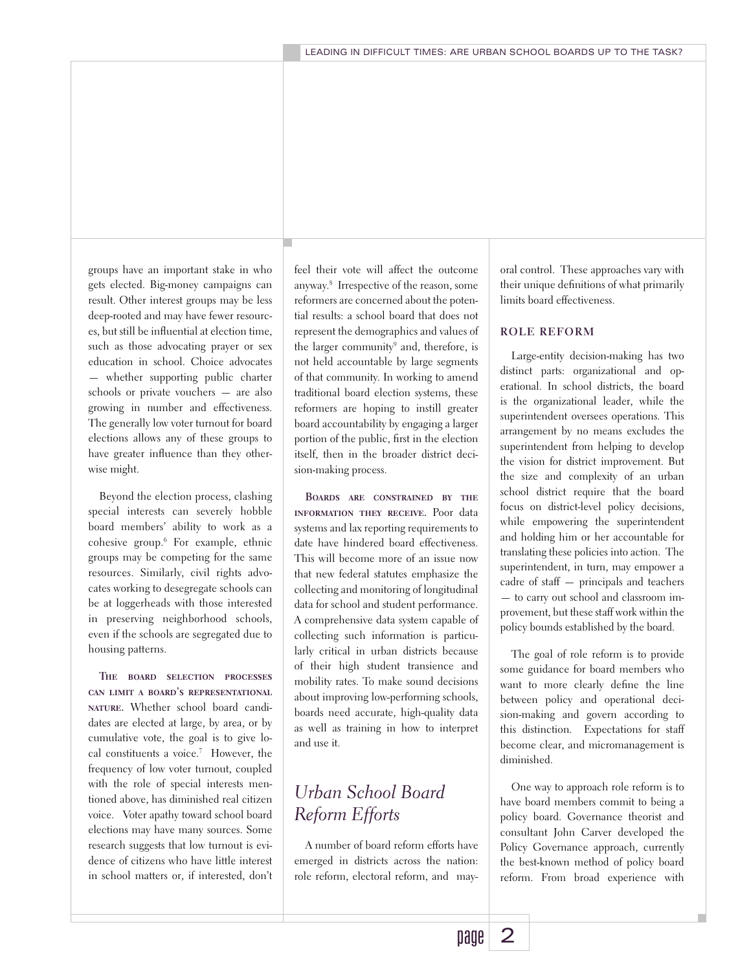groups have an important stake in who gets elected. Big-money campaigns can result. Other interest groups may be less deep-rooted and may have fewer resources, but still be influential at election time, such as those advocating prayer or sex education in school. Choice advocates — whether supporting public charter schools or private vouchers — are also growing in number and effectiveness. The generally low voter turnout for board elections allows any of these groups to have greater influence than they otherwise might.

Beyond the election process, clashing special interests can severely hobble board members' ability to work as a cohesive group.6 For example, ethnic groups may be competing for the same resources. Similarly, civil rights advocates working to desegregate schools can be at loggerheads with those interested in preserving neighborhood schools, even if the schools are segregated due to housing patterns.

**The board selection processes can limit a board's representational nature.** Whether school board candidates are elected at large, by area, or by cumulative vote, the goal is to give local constituents a voice.7 However, the frequency of low voter turnout, coupled with the role of special interests mentioned above, has diminished real citizen voice. Voter apathy toward school board elections may have many sources. Some research suggests that low turnout is evidence of citizens who have little interest in school matters or, if interested, don't

feel their vote will affect the outcome anyway.8 Irrespective of the reason, some reformers are concerned about the potential results: a school board that does not represent the demographics and values of the larger community<sup>9</sup> and, therefore, is not held accountable by large segments of that community. In working to amend traditional board election systems, these reformers are hoping to instill greater board accountability by engaging a larger portion of the public, first in the election itself, then in the broader district decision-making process.

**Boards are constrained by the information they receive.** Poor data systems and lax reporting requirements to date have hindered board effectiveness. This will become more of an issue now that new federal statutes emphasize the collecting and monitoring of longitudinal data for school and student performance. A comprehensive data system capable of collecting such information is particularly critical in urban districts because of their high student transience and mobility rates. To make sound decisions about improving low-performing schools, boards need accurate, high-quality data as well as training in how to interpret and use it.

# *Urban School Board Reform Efforts*

A number of board reform efforts have emerged in districts across the nation: role reform, electoral reform, and mayoral control. These approaches vary with their unique definitions of what primarily limits board effectiveness.

#### **ROLE REFORM**

Large-entity decision-making has two distinct parts: organizational and operational. In school districts, the board is the organizational leader, while the superintendent oversees operations. This arrangement by no means excludes the superintendent from helping to develop the vision for district improvement. But the size and complexity of an urban school district require that the board focus on district-level policy decisions, while empowering the superintendent and holding him or her accountable for translating these policies into action. The superintendent, in turn, may empower a cadre of staff — principals and teachers — to carry out school and classroom improvement, but these staff work within the policy bounds established by the board.

The goal of role reform is to provide some guidance for board members who want to more clearly define the line between policy and operational decision-making and govern according to this distinction. Expectations for staff become clear, and micromanagement is diminished.

One way to approach role reform is to have board members commit to being a policy board. Governance theorist and consultant John Carver developed the Policy Governance approach, currently the best-known method of policy board reform. From broad experience with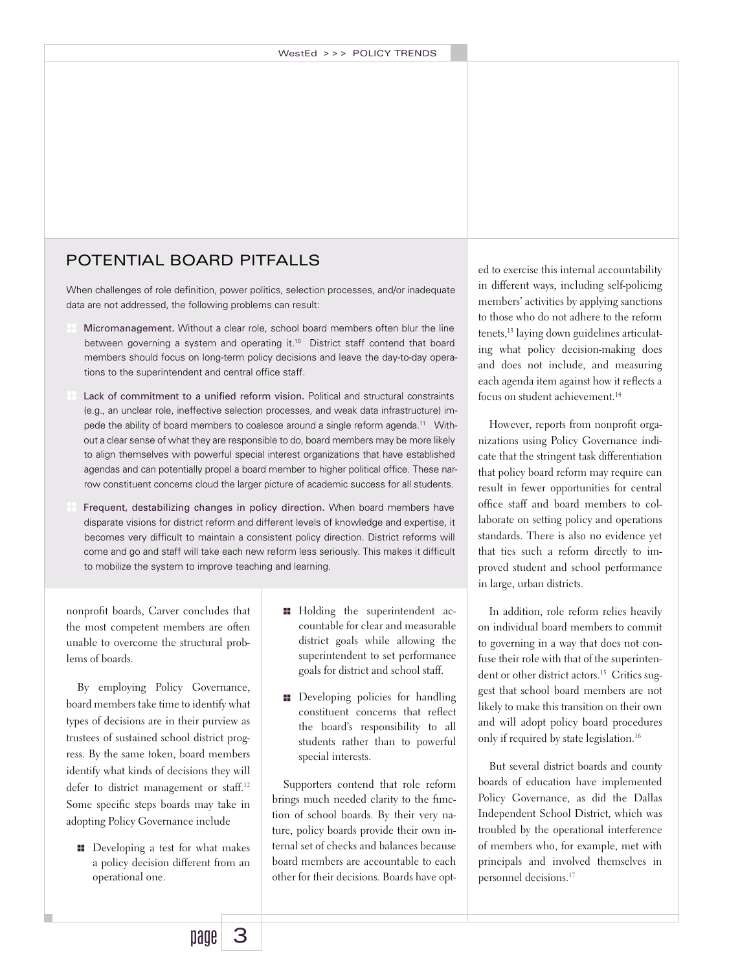## POTENTIAL BOARD PITFALLS

When challenges of role definition, power politics, selection processes, and/or inadequate data are not addressed, the following problems can result:

- Micromanagement. Without a clear role, school board members often blur the line between governing a system and operating it.<sup>10</sup> District staff contend that board members should focus on long-term policy decisions and leave the day-to-day operations to the superintendent and central office staff.
- Lack of commitment to a unified reform vision. Political and structural constraints (e.g., an unclear role, ineffective selection processes, and weak data infrastructure) impede the ability of board members to coalesce around a single reform agenda.<sup>11</sup> Without a clear sense of what they are responsible to do, board members may be more likely to align themselves with powerful special interest organizations that have established agendas and can potentially propel a board member to higher political office. These narrow constituent concerns cloud the larger picture of academic success for all students.
- Frequent, destabilizing changes in policy direction. When board members have disparate visions for district reform and different levels of knowledge and expertise, it becomes very difficult to maintain a consistent policy direction. District reforms will come and go and staff will take each new reform less seriously. This makes it difficult to mobilize the system to improve teaching and learning.

nonprofit boards, Carver concludes that the most competent members are often unable to overcome the structural problems of boards.

By employing Policy Governance, board members take time to identify what types of decisions are in their purview as trustees of sustained school district progress. By the same token, board members identify what kinds of decisions they will defer to district management or staff.<sup>12</sup> Some specific steps boards may take in adopting Policy Governance include

 $\blacksquare$  Developing a test for what makes a policy decision different from an operational one.

- **Holding the superintendent ac**countable for clear and measurable district goals while allowing the superintendent to set performance goals for district and school staff.
- **Developing policies for handling** constituent concerns that reflect the board's responsibility to all students rather than to powerful special interests.

Supporters contend that role reform brings much needed clarity to the function of school boards. By their very nature, policy boards provide their own internal set of checks and balances because board members are accountable to each other for their decisions. Boards have opted to exercise this internal accountability in different ways, including self-policing members' activities by applying sanctions to those who do not adhere to the reform tenets,<sup>13</sup> laying down guidelines articulating what policy decision-making does and does not include, and measuring each agenda item against how it reflects a focus on student achievement.<sup>14</sup>

However, reports from nonprofit organizations using Policy Governance indicate that the stringent task differentiation that policy board reform may require can result in fewer opportunities for central office staff and board members to collaborate on setting policy and operations standards. There is also no evidence yet that ties such a reform directly to improved student and school performance in large, urban districts.

In addition, role reform relies heavily on individual board members to commit to governing in a way that does not confuse their role with that of the superintendent or other district actors.<sup>15</sup> Critics suggest that school board members are not likely to make this transition on their own and will adopt policy board procedures only if required by state legislation.<sup>16</sup>

But several district boards and county boards of education have implemented Policy Governance, as did the Dallas Independent School District, which was troubled by the operational interference of members who, for example, met with principals and involved themselves in personnel decisions.17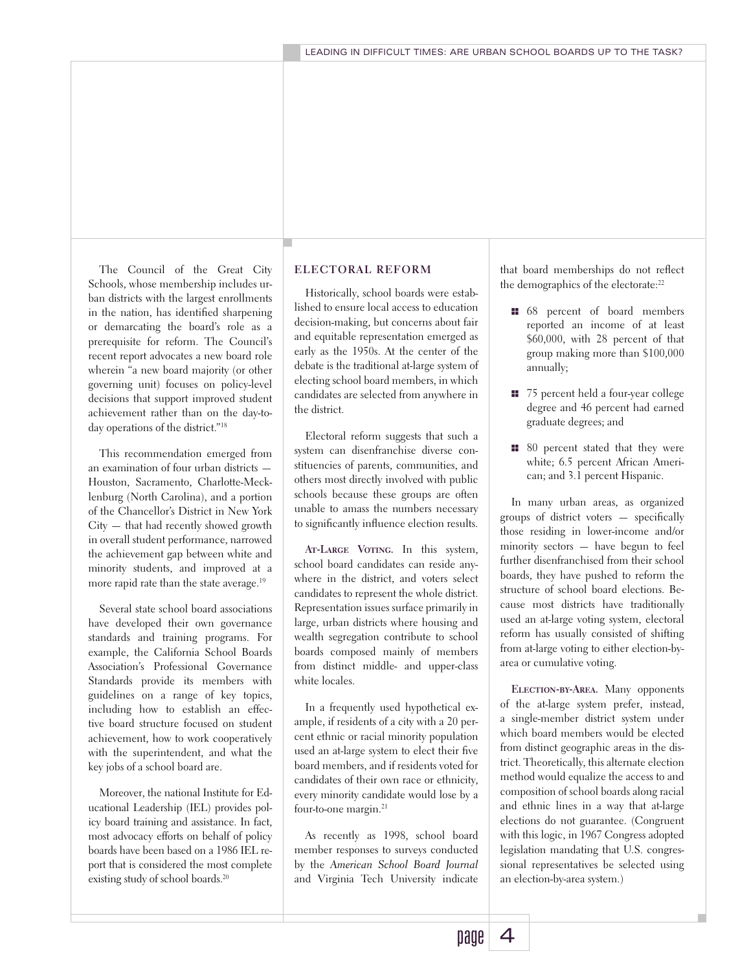The Council of the Great City Schools, whose membership includes urban districts with the largest enrollments in the nation, has identified sharpening or demarcating the board's role as a prerequisite for reform. The Council's recent report advocates a new board role wherein "a new board majority (or other governing unit) focuses on policy-level decisions that support improved student achievement rather than on the day-today operations of the district."18

This recommendation emerged from an examination of four urban districts — Houston, Sacramento, Charlotte-Mecklenburg (North Carolina), and a portion of the Chancellor's District in New York City — that had recently showed growth in overall student performance, narrowed the achievement gap between white and minority students, and improved at a more rapid rate than the state average.<sup>19</sup>

Several state school board associations have developed their own governance standards and training programs. For example, the California School Boards Association's Professional Governance Standards provide its members with guidelines on a range of key topics, including how to establish an effective board structure focused on student achievement, how to work cooperatively with the superintendent, and what the key jobs of a school board are.

Moreover, the national Institute for Educational Leadership (IEL) provides policy board training and assistance. In fact, most advocacy efforts on behalf of policy boards have been based on a 1986 IEL report that is considered the most complete existing study of school boards.<sup>20</sup>

#### **ELECTORAL REFORM**

Historically, school boards were established to ensure local access to education decision-making, but concerns about fair and equitable representation emerged as early as the 1950s. At the center of the debate is the traditional at-large system of electing school board members, in which candidates are selected from anywhere in the district.

Electoral reform suggests that such a system can disenfranchise diverse constituencies of parents, communities, and others most directly involved with public schools because these groups are often unable to amass the numbers necessary to significantly influence election results.

**At-Large Voting.** In this system, school board candidates can reside anywhere in the district, and voters select candidates to represent the whole district. Representation issues surface primarily in large, urban districts where housing and wealth segregation contribute to school boards composed mainly of members from distinct middle- and upper-class white locales.

In a frequently used hypothetical example, if residents of a city with a 20 percent ethnic or racial minority population used an at-large system to elect their five board members, and if residents voted for candidates of their own race or ethnicity, every minority candidate would lose by a four-to-one margin.<sup>21</sup>

As recently as 1998, school board member responses to surveys conducted by the *American School Board Journal* and Virginia Tech University indicate that board memberships do not reflect the demographics of the electorate:<sup>22</sup>

- **11** 68 percent of board members reported an income of at least \$60,000, with 28 percent of that group making more than \$100,000 annually;
- **11** 75 percent held a four-year college degree and 46 percent had earned graduate degrees; and
- $\blacksquare$  80 percent stated that they were white; 6.5 percent African American; and 3.1 percent Hispanic.

In many urban areas, as organized groups of district voters — specifically those residing in lower-income and/or minority sectors — have begun to feel further disenfranchised from their school boards, they have pushed to reform the structure of school board elections. Because most districts have traditionally used an at-large voting system, electoral reform has usually consisted of shifting from at-large voting to either election-byarea or cumulative voting.

**Election-by-Area.** Many opponents of the at-large system prefer, instead, a single-member district system under which board members would be elected from distinct geographic areas in the district. Theoretically, this alternate election method would equalize the access to and composition of school boards along racial and ethnic lines in a way that at-large elections do not guarantee. (Congruent with this logic, in 1967 Congress adopted legislation mandating that U.S. congressional representatives be selected using an election-by-area system.)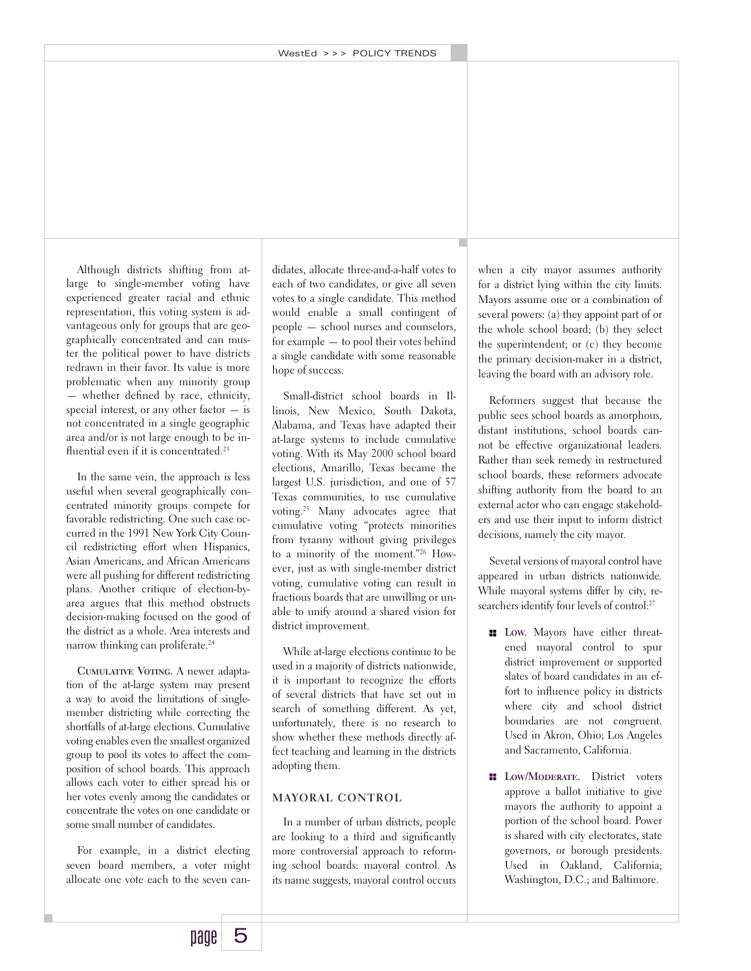Although districts shifting from atlarge to single-member voting have experienced greater racial and ethnic representation, this voting system is advantageous only for groups that are geographically concentrated and can muster the political power to have districts redrawn in their favor. Its value is more problematic when any minority group — whether defined by race, ethnicity, special interest, or any other factor — is not concentrated in a single geographic area and/or is not large enough to be influential even if it is concentrated.<sup>23</sup>

In the same vein, the approach is less useful when several geographically concentrated minority groups compete for favorable redistricting. One such case occurred in the 1991 New York City Council redistricting effort when Hispanics, Asian Americans, and African Americans were all pushing for different redistricting plans. Another critique of election-byarea argues that this method obstructs decision-making focused on the good of the district as a whole. Area interests and narrow thinking can proliferate.<sup>24</sup>

**Cumulative Voting.** A newer adaptation of the at-large system may present a way to avoid the limitations of singlemember districting while correcting the shortfalls of at-large elections. Cumulative voting enables even the smallest organized group to pool its votes to affect the composition of school boards. This approach allows each voter to either spread his or her votes evenly among the candidates or concentrate the votes on one candidate or some small number of candidates.

For example, in a district electing seven board members, a voter might allocate one vote each to the seven can-

didates, allocate three-and-a-half votes to each of two candidates, or give all seven votes to a single candidate. This method would enable a small contingent of people — school nurses and counselors, for example — to pool their votes behind a single candidate with some reasonable hope of success.

Small-district school boards in Illinois, New Mexico, South Dakota, Alabama, and Texas have adapted their at-large systems to include cumulative voting. With its May 2000 school board elections, Amarillo, Texas became the largest U.S. jurisdiction, and one of 57 Texas communities, to use cumulative voting.25 Many advocates agree that cumulative voting "protects minorities from tyranny without giving privileges to a minority of the moment."26 However, just as with single-member district voting, cumulative voting can result in fractious boards that are unwilling or unable to unify around a shared vision for district improvement.

While at-large elections continue to be used in a majority of districts nationwide, it is important to recognize the efforts of several districts that have set out in search of something different. As yet, unfortunately, there is no research to show whether these methods directly affect teaching and learning in the districts adopting them.

#### **MAYORAL CONTROL**

In a number of urban districts, people are looking to a third and significantly more controversial approach to reforming school boards: mayoral control. As its name suggests, mayoral control occurs

when a city mayor assumes authority for a district lying within the city limits. Mayors assume one or a combination of several powers: (a) they appoint part of or the whole school board; (b) they select the superintendent; or (c) they become the primary decision-maker in a district, leaving the board with an advisory role.

Reformers suggest that because the public sees school boards as amorphous, distant institutions, school boards cannot be effective organizational leaders. Rather than seek remedy in restructured school boards, these reformers advocate shifting authority from the board to an external actor who can engage stakeholders and use their input to inform district decisions, namely the city mayor.

Several versions of mayoral control have appeared in urban districts nationwide. While mayoral systems differ by city, researchers identify four levels of control:<sup>27</sup>

- **Low.** Mayors have either threatened mayoral control to spur district improvement or supported slates of board candidates in an effort to influence policy in districts where city and school district boundaries are not congruent. Used in Akron, Ohio; Los Angeles and Sacramento, California.
- **LOW/MODERATE.** District voters approve a ballot initiative to give mayors the authority to appoint a portion of the school board. Power is shared with city electorates, state governors, or borough presidents. Used in Oakland, California; Washington, D.C.; and Baltimore.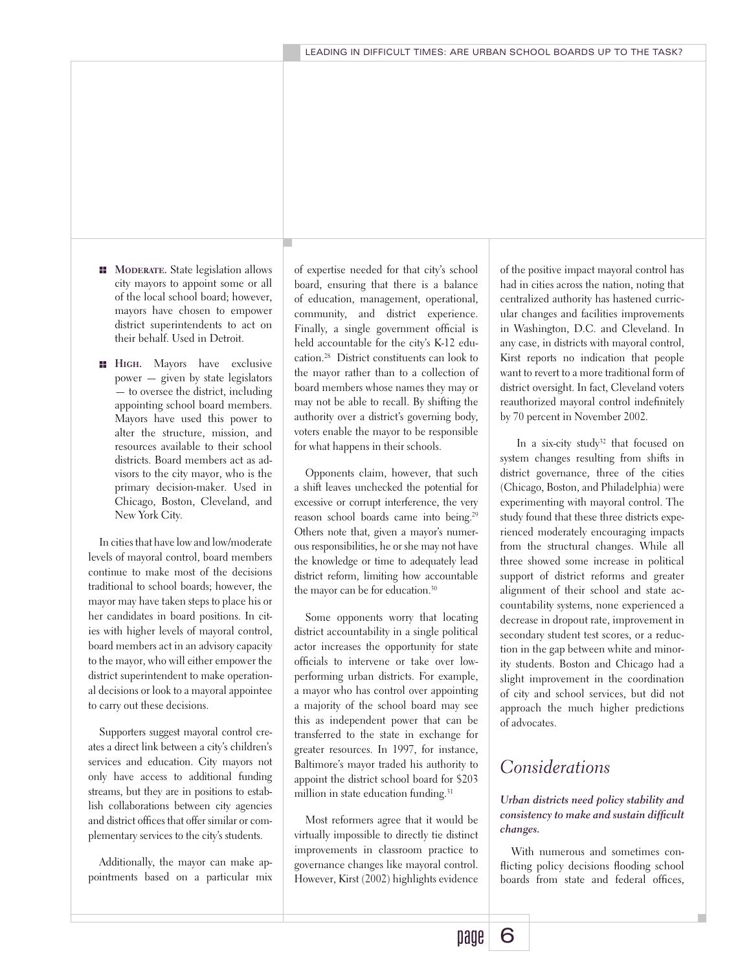- **H** MODERATE. State legislation allows city mayors to appoint some or all of the local school board; however, mayors have chosen to empower district superintendents to act on their behalf. Used in Detroit.
- **High.** Mayors have exclusive power — given by state legislators — to oversee the district, including appointing school board members. Mayors have used this power to alter the structure, mission, and resources available to their school districts. Board members act as advisors to the city mayor, who is the primary decision-maker. Used in Chicago, Boston, Cleveland, and New York City.

In cities that have low and low/moderate levels of mayoral control, board members continue to make most of the decisions traditional to school boards; however, the mayor may have taken steps to place his or her candidates in board positions. In cities with higher levels of mayoral control, board members act in an advisory capacity to the mayor, who will either empower the district superintendent to make operational decisions or look to a mayoral appointee to carry out these decisions.

Supporters suggest mayoral control creates a direct link between a city's children's services and education. City mayors not only have access to additional funding streams, but they are in positions to establish collaborations between city agencies and district offices that offer similar or complementary services to the city's students.

Additionally, the mayor can make appointments based on a particular mix of expertise needed for that city's school board, ensuring that there is a balance of education, management, operational, community, and district experience. Finally, a single government official is held accountable for the city's K-12 education.28 District constituents can look to the mayor rather than to a collection of board members whose names they may or may not be able to recall. By shifting the authority over a district's governing body, voters enable the mayor to be responsible for what happens in their schools.

Opponents claim, however, that such a shift leaves unchecked the potential for excessive or corrupt interference, the very reason school boards came into being.29 Others note that, given a mayor's numerous responsibilities, he or she may not have the knowledge or time to adequately lead district reform, limiting how accountable the mayor can be for education.<sup>30</sup>

Some opponents worry that locating district accountability in a single political actor increases the opportunity for state officials to intervene or take over lowperforming urban districts. For example, a mayor who has control over appointing a majority of the school board may see this as independent power that can be transferred to the state in exchange for greater resources. In 1997, for instance, Baltimore's mayor traded his authority to appoint the district school board for \$203 million in state education funding.<sup>31</sup>

Most reformers agree that it would be virtually impossible to directly tie distinct improvements in classroom practice to governance changes like mayoral control. However, Kirst (2002) highlights evidence of the positive impact mayoral control has had in cities across the nation, noting that centralized authority has hastened curricular changes and facilities improvements in Washington, D.C. and Cleveland. In any case, in districts with mayoral control, Kirst reports no indication that people want to revert to a more traditional form of district oversight. In fact, Cleveland voters reauthorized mayoral control indefinitely by 70 percent in November 2002.

In a six-city study<sup>32</sup> that focused on system changes resulting from shifts in district governance, three of the cities (Chicago, Boston, and Philadelphia) were experimenting with mayoral control. The study found that these three districts experienced moderately encouraging impacts from the structural changes. While all three showed some increase in political support of district reforms and greater alignment of their school and state accountability systems, none experienced a decrease in dropout rate, improvement in secondary student test scores, or a reduction in the gap between white and minority students. Boston and Chicago had a slight improvement in the coordination of city and school services, but did not approach the much higher predictions of advocates.

## *Considerations*

*Urban districts need policy stability and consistency to make and sustain difficult changes.*

With numerous and sometimes conflicting policy decisions flooding school boards from state and federal offices,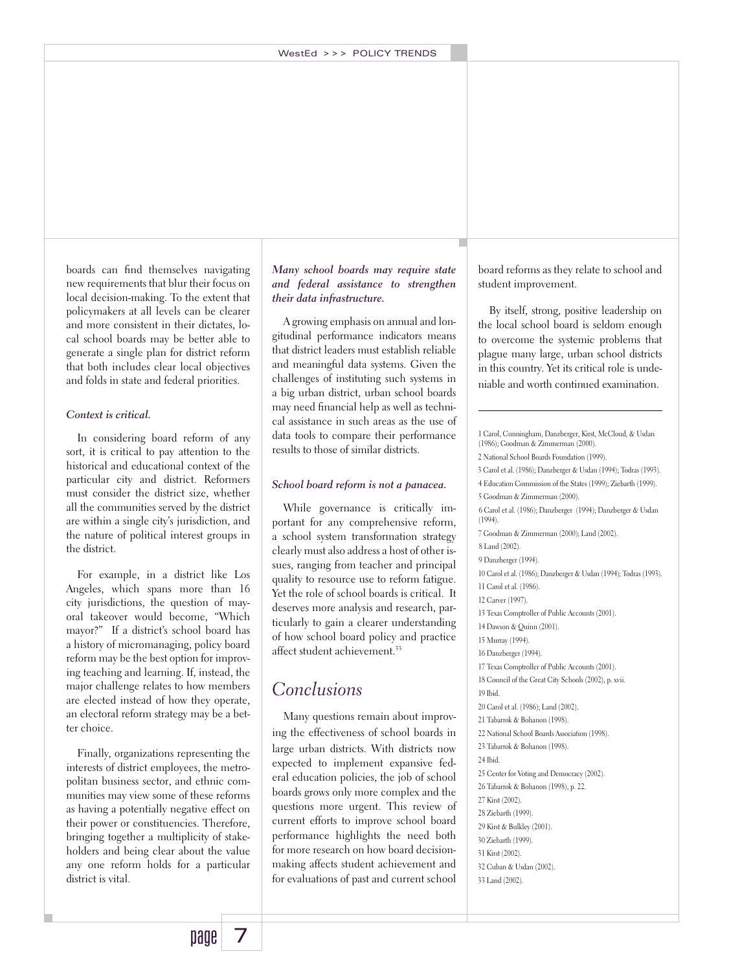boards can find themselves navigating new requirements that blur their focus on local decision-making. To the extent that policymakers at all levels can be clearer and more consistent in their dictates, local school boards may be better able to generate a single plan for district reform that both includes clear local objectives and folds in state and federal priorities.

#### *Context is critical.*

In considering board reform of any sort, it is critical to pay attention to the historical and educational context of the particular city and district. Reformers must consider the district size, whether all the communities served by the district are within a single city's jurisdiction, and the nature of political interest groups in the district.

For example, in a district like Los Angeles, which spans more than 16 city jurisdictions, the question of mayoral takeover would become, "Which mayor?" If a district's school board has a history of micromanaging, policy board reform may be the best option for improving teaching and learning. If, instead, the major challenge relates to how members are elected instead of how they operate, an electoral reform strategy may be a better choice.

Finally, organizations representing the interests of district employees, the metropolitan business sector, and ethnic communities may view some of these reforms as having a potentially negative effect on their power or constituencies. Therefore, bringing together a multiplicity of stakeholders and being clear about the value any one reform holds for a particular district is vital.

#### *Many school boards may require state and federal assistance to strengthen their data infrastructure.*

A growing emphasis on annual and longitudinal performance indicators means that district leaders must establish reliable and meaningful data systems. Given the challenges of instituting such systems in a big urban district, urban school boards may need financial help as well as technical assistance in such areas as the use of data tools to compare their performance results to those of similar districts.

#### *School board reform is not a panacea.*

While governance is critically important for any comprehensive reform, a school system transformation strategy clearly must also address a host of other issues, ranging from teacher and principal quality to resource use to reform fatigue. Yet the role of school boards is critical. It deserves more analysis and research, particularly to gain a clearer understanding of how school board policy and practice affect student achievement.<sup>33</sup>

## *Conclusions*

Many questions remain about improving the effectiveness of school boards in large urban districts. With districts now expected to implement expansive federal education policies, the job of school boards grows only more complex and the questions more urgent. This review of current efforts to improve school board performance highlights the need both for more research on how board decisionmaking affects student achievement and for evaluations of past and current school

board reforms as they relate to school and student improvement.

By itself, strong, positive leadership on the local school board is seldom enough to overcome the systemic problems that plague many large, urban school districts in this country. Yet its critical role is undeniable and worth continued examination.

1 Carol, Cunningham, Danzberger, Kirst, McCloud, & Usdan (1986); Goodman & Zimmerman (2000). 2 National School Boards Foundation (1999). 3 Carol et al. (1986); Danzberger & Usdan (1994); Todras (1993). 4 Education Commission of the States (1999); Ziebarth (1999). 5 Goodman & Zimmerman (2000). 6 Carol et al. (1986); Danzberger (1994); Danzberger & Usdan (1994). 7 Goodman & Zimmerman (2000); Land (2002). 8 Land (2002). 9 Danzberger (1994). 10 Carol et al. (1986); Danzberger & Usdan (1994); Todras (1993). 11 Carol et al. (1986). 12 Carver (1997). 13 Texas Comptroller of Public Accounts (2001). 14 Dawson & Quinn (2001). 15 Murray (1994). 16 Danzberger (1994). 17 Texas Comptroller of Public Accounts (2001). 18 Council of the Great City Schools (2002), p. xvii. 19 Ibid. 20 Carol et al. (1986); Land (2002). 21 Tabarrok & Bohanon (1998). 22 National School Boards Association (1998). 23 Tabarrok & Bohanon (1998). 24 Ibid. 25 Center for Voting and Democracy (2002). 26 Tabarrok & Bohanon (1998), p. 22. 27 Kirst (2002). 28 Ziebarth (1999). 29 Kirst & Bulkley (2001). 30 Ziebarth (1999). 31 Kirst (2002). 32 Cuban & Usdan (2002). 33 Land (2002).